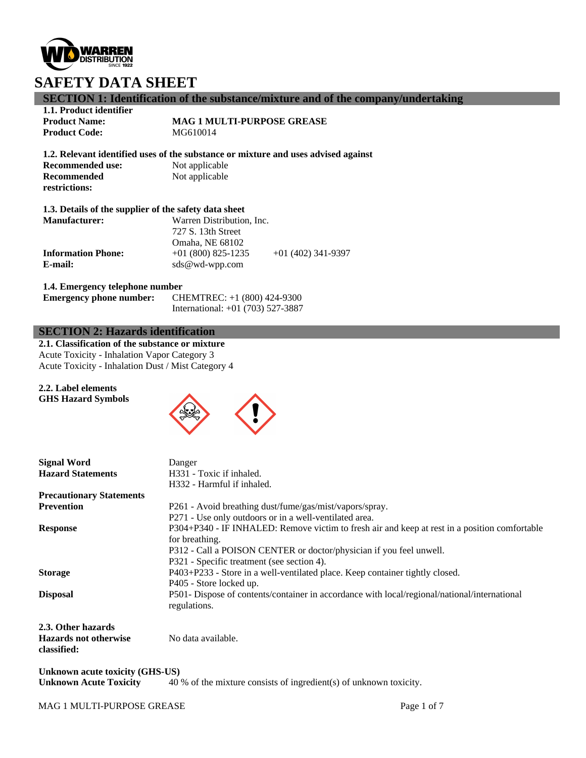

## **SECTION 1: Identification of the substance/mixture and of the company/undertaking**

**1.1. Product identifier Product Code:** 

**Recommended restrictions:**

**Product Name: MAG 1 MULTI-PURPOSE GREASE**<br>**Product Code: MG610014** 

**1.2. Relevant identified uses of the substance or mixture and uses advised against**

**Recommended use:** Not applicable Not applicable

#### **1.3. Details of the supplier of the safety data sheet**

| <b>Manufacturer:</b>      | Warren Distribution, Inc. |                    |  |
|---------------------------|---------------------------|--------------------|--|
|                           | 727 S. 13th Street        |                    |  |
|                           | Omaha, NE 68102           |                    |  |
| <b>Information Phone:</b> | $+01(800)825-1235$        | $+01(402)341-9397$ |  |
| E-mail:                   | $sds@wd$ -wpp.com         |                    |  |

#### **1.4. Emergency telephone number**

| <b>Emergency phone number:</b> | CHEMTREC: +1 (800) 424-9300         |
|--------------------------------|-------------------------------------|
|                                | International: $+01$ (703) 527-3887 |

### **SECTION 2: Hazards identification**

**2.1. Classification of the substance or mixture** Acute Toxicity - Inhalation Vapor Category 3 Acute Toxicity - Inhalation Dust / Mist Category 4

#### **2.2. Label elements GHS Hazard Symbols**



| <b>Signal Word</b>                     | Danger                                                                                                                                                                                                                                                                                                                      |  |
|----------------------------------------|-----------------------------------------------------------------------------------------------------------------------------------------------------------------------------------------------------------------------------------------------------------------------------------------------------------------------------|--|
| <b>Hazard Statements</b>               | H331 - Toxic if inhaled.                                                                                                                                                                                                                                                                                                    |  |
|                                        | H332 - Harmful if inhaled.                                                                                                                                                                                                                                                                                                  |  |
| <b>Precautionary Statements</b>        |                                                                                                                                                                                                                                                                                                                             |  |
| <b>Prevention</b>                      | P261 - Avoid breathing dust/fume/gas/mist/vapors/spray.                                                                                                                                                                                                                                                                     |  |
|                                        | P271 - Use only outdoors or in a well-ventilated area.                                                                                                                                                                                                                                                                      |  |
| <b>Response</b>                        | P304+P340 - IF INHALED: Remove victim to fresh air and keep at rest in a position comfortable                                                                                                                                                                                                                               |  |
|                                        | for breathing.                                                                                                                                                                                                                                                                                                              |  |
|                                        | P312 - Call a POISON CENTER or doctor/physician if you feel unwell.                                                                                                                                                                                                                                                         |  |
|                                        | P321 - Specific treatment (see section 4).                                                                                                                                                                                                                                                                                  |  |
| <b>Storage</b>                         | P403+P233 - Store in a well-ventilated place. Keep container tightly closed.                                                                                                                                                                                                                                                |  |
|                                        | P405 - Store locked up.                                                                                                                                                                                                                                                                                                     |  |
| <b>Disposal</b>                        | P501- Dispose of contents/container in accordance with local/regional/national/international                                                                                                                                                                                                                                |  |
|                                        | regulations.                                                                                                                                                                                                                                                                                                                |  |
| 2.3. Other hazards                     |                                                                                                                                                                                                                                                                                                                             |  |
| <b>Hazards not otherwise</b>           | No data available.                                                                                                                                                                                                                                                                                                          |  |
| classified:                            |                                                                                                                                                                                                                                                                                                                             |  |
| <b>Unknown acute toxicity (GHS-US)</b> |                                                                                                                                                                                                                                                                                                                             |  |
|                                        | $\mathcal{A}\cap\mathcal{A}$ and $\mathcal{A}$ and $\mathcal{A}$ and $\mathcal{A}$ and $\mathcal{A}$ and $\mathcal{A}$ and $\mathcal{A}$ and $\mathcal{A}$ and $\mathcal{A}$ and $\mathcal{A}$ and $\mathcal{A}$ and $\mathcal{A}$ and $\mathcal{A}$ and $\mathcal{A}$ and $\mathcal{A}$ and $\mathcal{A}$ and $\mathcal{A$ |  |

**Unknown Acute Toxicity** 40 % of the mixture consists of ingredient(s) of unknown toxicity.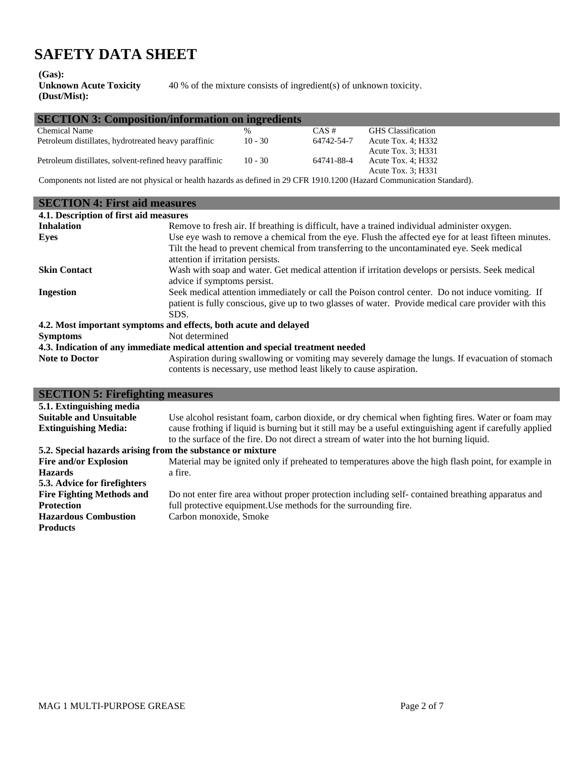**(Gas):**

**Unknown Acute Toxicity (Dust/Mist):** 40 % of the mixture consists of ingredient(s) of unknown toxicity.

| <b>SECTION 3: Composition/information on ingredients</b> |           |            |                           |
|----------------------------------------------------------|-----------|------------|---------------------------|
| Chemical Name                                            | $\%$      | CAS#       | <b>GHS</b> Classification |
| Petroleum distillates, hydrotreated heavy paraffinic     | $10 - 30$ | 64742-54-7 | Acute Tox. $4$ ; H332     |
|                                                          |           |            | Acute Tox. 3; H331        |
| Petroleum distillates, solvent-refined heavy paraffinic  | $10 - 30$ | 64741-88-4 | Acute Tox. $4$ ; H332     |
|                                                          |           |            | Acute Tox. 3: H331        |
|                                                          |           |            |                           |

Components not listed are not physical or health hazards as defined in 29 CFR 1910.1200 (Hazard Communication Standard).

| <b>SECTION 4: First aid measures</b>                                            |                                                                                                                                  |  |  |
|---------------------------------------------------------------------------------|----------------------------------------------------------------------------------------------------------------------------------|--|--|
| 4.1. Description of first aid measures                                          |                                                                                                                                  |  |  |
| <b>Inhalation</b>                                                               | Remove to fresh air. If breathing is difficult, have a trained individual administer oxygen.                                     |  |  |
| Eyes                                                                            | Use eye wash to remove a chemical from the eye. Flush the affected eye for at least fifteen minutes.                             |  |  |
|                                                                                 | Tilt the head to prevent chemical from transferring to the uncontaminated eye. Seek medical<br>attention if irritation persists. |  |  |
| <b>Skin Contact</b>                                                             | Wash with soap and water. Get medical attention if irritation develops or persists. Seek medical<br>advice if symptoms persist.  |  |  |
| <b>Ingestion</b>                                                                | Seek medical attention immediately or call the Poison control center. Do not induce vomiting. If                                 |  |  |
|                                                                                 | patient is fully conscious, give up to two glasses of water. Provide medical care provider with this                             |  |  |
|                                                                                 | SDS.                                                                                                                             |  |  |
| 4.2. Most important symptoms and effects, both acute and delayed                |                                                                                                                                  |  |  |
| <b>Symptoms</b>                                                                 | Not determined                                                                                                                   |  |  |
| 4.3. Indication of any immediate medical attention and special treatment needed |                                                                                                                                  |  |  |
| <b>Note to Doctor</b>                                                           | Aspiration during swallowing or vomiting may severely damage the lungs. If evacuation of stomach                                 |  |  |
|                                                                                 | contents is necessary, use method least likely to cause aspiration.                                                              |  |  |

| <b>SECTION 5: Firefighting measures</b>                    |                                                                                                           |  |  |
|------------------------------------------------------------|-----------------------------------------------------------------------------------------------------------|--|--|
| 5.1. Extinguishing media                                   |                                                                                                           |  |  |
| <b>Suitable and Unsuitable</b>                             | Use alcohol resistant foam, carbon dioxide, or dry chemical when fighting fires. Water or foam may        |  |  |
| <b>Extinguishing Media:</b>                                | cause frothing if liquid is burning but it still may be a useful extinguishing agent if carefully applied |  |  |
|                                                            | to the surface of the fire. Do not direct a stream of water into the hot burning liquid.                  |  |  |
| 5.2. Special hazards arising from the substance or mixture |                                                                                                           |  |  |
| <b>Fire and/or Explosion</b>                               | Material may be ignited only if preheated to temperatures above the high flash point, for example in      |  |  |
| <b>Hazards</b>                                             | a fire.                                                                                                   |  |  |
| 5.3. Advice for firefighters                               |                                                                                                           |  |  |
| <b>Fire Fighting Methods and</b>                           | Do not enter fire area without proper protection including self-contained breathing apparatus and         |  |  |
| <b>Protection</b>                                          | full protective equipment. Use methods for the surrounding fire.                                          |  |  |
| <b>Hazardous Combustion</b>                                | Carbon monoxide, Smoke                                                                                    |  |  |
| <b>Products</b>                                            |                                                                                                           |  |  |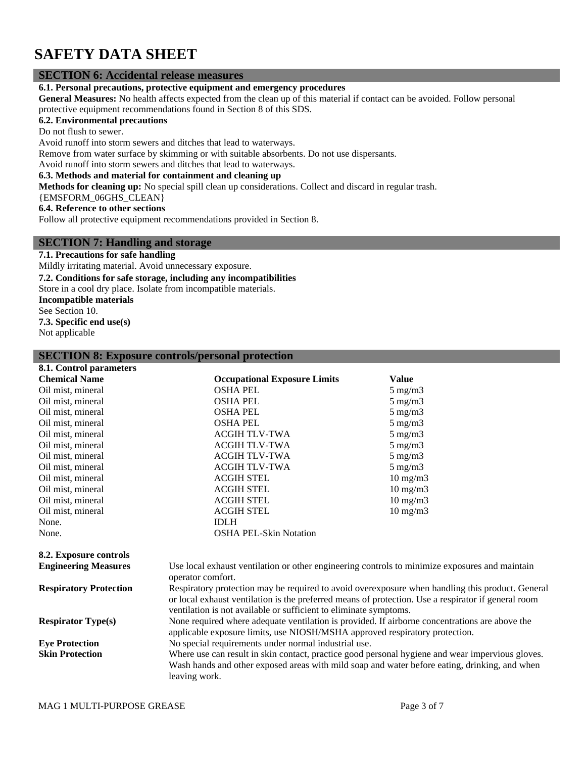### **SECTION 6: Accidental release measures**

**6.1. Personal precautions, protective equipment and emergency procedures**

**General Measures:** No health affects expected from the clean up of this material if contact can be avoided. Follow personal protective equipment recommendations found in Section 8 of this SDS.

#### **6.2. Environmental precautions**

Do not flush to sewer.

Avoid runoff into storm sewers and ditches that lead to waterways.

Remove from water surface by skimming or with suitable absorbents. Do not use dispersants.

Avoid runoff into storm sewers and ditches that lead to waterways.

### **6.3. Methods and material for containment and cleaning up**

**Methods for cleaning up:** No special spill clean up considerations. Collect and discard in regular trash.

{EMSFORM\_06GHS\_CLEAN}

**6.4. Reference to other sections**

Follow all protective equipment recommendations provided in Section 8.

### **SECTION 7: Handling and storage**

#### **7.1. Precautions for safe handling**

Mildly irritating material. Avoid unnecessary exposure.

**7.2. Conditions for safe storage, including any incompatibilities**

Store in a cool dry place. Isolate from incompatible materials.

**Incompatible materials**

See Section 10.

**7.3. Specific end use(s)**

Not applicable

#### **SECTION 8: Exposure controls/personal protection**

| 8.1. Control parameters       |                                                                                                                                                                                                                                                                           |                   |  |
|-------------------------------|---------------------------------------------------------------------------------------------------------------------------------------------------------------------------------------------------------------------------------------------------------------------------|-------------------|--|
| <b>Chemical Name</b>          | <b>Occupational Exposure Limits</b>                                                                                                                                                                                                                                       | <b>Value</b>      |  |
| Oil mist, mineral             | <b>OSHA PEL</b>                                                                                                                                                                                                                                                           | $5 \text{ mg/m}$  |  |
| Oil mist, mineral             | <b>OSHA PEL</b>                                                                                                                                                                                                                                                           | $5 \text{ mg/m}$  |  |
| Oil mist, mineral             | <b>OSHA PEL</b>                                                                                                                                                                                                                                                           | $5 \text{ mg/m}$  |  |
| Oil mist, mineral             | <b>OSHA PEL</b>                                                                                                                                                                                                                                                           | $5 \text{ mg/m}$  |  |
| Oil mist, mineral             | <b>ACGIH TLV-TWA</b>                                                                                                                                                                                                                                                      | $5 \text{ mg/m}$  |  |
| Oil mist, mineral             | <b>ACGIH TLV-TWA</b>                                                                                                                                                                                                                                                      | $5 \text{ mg/m}$  |  |
| Oil mist, mineral             | <b>ACGIH TLV-TWA</b>                                                                                                                                                                                                                                                      | $5 \text{ mg/m}$  |  |
| Oil mist, mineral             | <b>ACGIH TLV-TWA</b>                                                                                                                                                                                                                                                      | $5 \text{ mg/m}$  |  |
| Oil mist, mineral             | <b>ACGIH STEL</b>                                                                                                                                                                                                                                                         | $10 \text{ mg/m}$ |  |
| Oil mist, mineral             | <b>ACGIH STEL</b>                                                                                                                                                                                                                                                         | $10 \text{ mg/m}$ |  |
| Oil mist, mineral             | <b>ACGIH STEL</b>                                                                                                                                                                                                                                                         | $10 \text{ mg/m}$ |  |
| Oil mist, mineral             | <b>ACGIH STEL</b>                                                                                                                                                                                                                                                         | $10 \text{ mg/m}$ |  |
| None.                         | <b>IDLH</b>                                                                                                                                                                                                                                                               |                   |  |
| None.                         | <b>OSHA PEL-Skin Notation</b>                                                                                                                                                                                                                                             |                   |  |
| 8.2. Exposure controls        |                                                                                                                                                                                                                                                                           |                   |  |
| <b>Engineering Measures</b>   | Use local exhaust ventilation or other engineering controls to minimize exposures and maintain<br>operator comfort.                                                                                                                                                       |                   |  |
| <b>Respiratory Protection</b> | Respiratory protection may be required to avoid overexposure when handling this product. Gene<br>or local exhaust ventilation is the preferred means of protection. Use a respirator if general room<br>ventilation is not available or sufficient to eliminate symptoms. |                   |  |

**Respirator Type(s)** None required where adequate ventilation is provided. If airborne concentrations are above the applicable exposure limits, use NIOSH/MSHA approved respiratory protection.

**Eye Protection** No special requirements under normal industrial use. **Skin Protection** Where use can result in skin contact, practice good personal hygiene and wear impervious gloves. Wash hands and other exposed areas with mild soap and water before eating, drinking, and when leaving work.

this product. General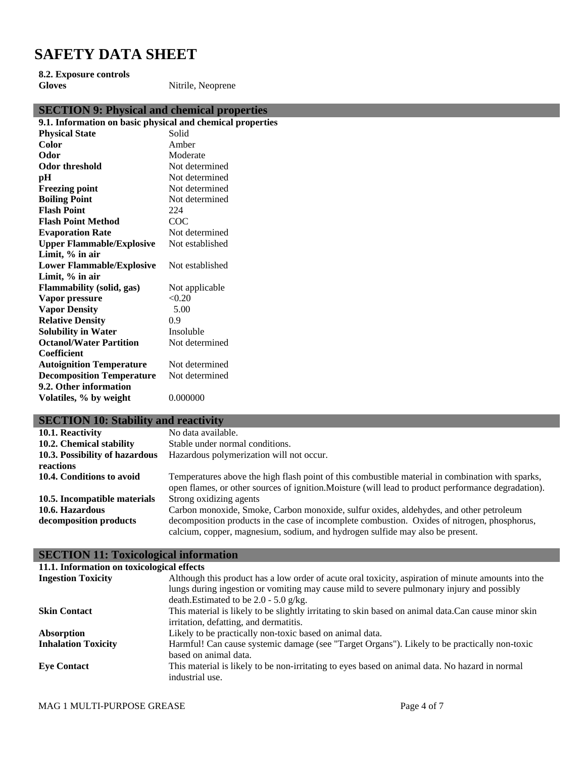**8.2. Exposure controls**

**Gloves** Nitrile, Neoprene

| <b>SECTION 9: Physical and chemical properties</b>         |                 |
|------------------------------------------------------------|-----------------|
| 9.1. Information on basic physical and chemical properties |                 |
| <b>Physical State</b>                                      | Solid           |
| Color                                                      | Amber           |
| Odor                                                       | Moderate        |
| <b>Odor threshold</b>                                      | Not determined  |
| pH                                                         | Not determined  |
| <b>Freezing point</b>                                      | Not determined  |
| <b>Boiling Point</b>                                       | Not determined  |
| <b>Flash Point</b>                                         | 224             |
| <b>Flash Point Method</b>                                  | COC             |
| <b>Evaporation Rate</b>                                    | Not determined  |
| <b>Upper Flammable/Explosive</b>                           | Not established |
| Limit, $\%$ in air                                         |                 |
| <b>Lower Flammable/Explosive</b>                           | Not established |
| Limit, % in air                                            |                 |
| Flammability (solid, gas)                                  | Not applicable  |
| Vapor pressure                                             | < 0.20          |
| <b>Vapor Density</b>                                       | 5.00            |
| <b>Relative Density</b>                                    | 0.9             |
| <b>Solubility in Water</b>                                 | Insoluble       |
| <b>Octanol/Water Partition</b>                             | Not determined  |
| Coefficient                                                |                 |
| <b>Autoignition Temperature</b>                            | Not determined  |
| <b>Decomposition Temperature</b>                           | Not determined  |
| 9.2. Other information                                     |                 |
| Volatiles, % by weight                                     | 0.000000        |
|                                                            |                 |

# **SECTION 10: Stability and reactivity**

| 10.1. Reactivity               | No data available.                                                                                  |
|--------------------------------|-----------------------------------------------------------------------------------------------------|
| 10.2. Chemical stability       | Stable under normal conditions.                                                                     |
| 10.3. Possibility of hazardous | Hazardous polymerization will not occur.                                                            |
| reactions                      |                                                                                                     |
| 10.4. Conditions to avoid      | Temperatures above the high flash point of this combustible material in combination with sparks,    |
|                                | open flames, or other sources of ignition. Moisture (will lead to product performance degradation). |
| 10.5. Incompatible materials   | Strong oxidizing agents                                                                             |
| 10.6. Hazardous                | Carbon monoxide, Smoke, Carbon monoxide, sulfur oxides, aldehydes, and other petroleum              |
| decomposition products         | decomposition products in the case of incomplete combustion. Oxides of nitrogen, phosphorus,        |
|                                | calcium, copper, magnesium, sodium, and hydrogen sulfide may also be present.                       |

## **SECTION 11: Toxicological information**

| 11.1. Information on toxicological effects |                                                                                                     |
|--------------------------------------------|-----------------------------------------------------------------------------------------------------|
| <b>Ingestion Toxicity</b>                  | Although this product has a low order of acute oral toxicity, aspiration of minute amounts into the |
|                                            | lungs during ingestion or vomiting may cause mild to severe pulmonary injury and possibly           |
|                                            | death. Estimated to be $2.0 - 5.0$ g/kg.                                                            |
| <b>Skin Contact</b>                        | This material is likely to be slightly irritating to skin based on animal data.Can cause minor skin |
|                                            | irritation, defatting, and dermatitis.                                                              |
| Absorption                                 | Likely to be practically non-toxic based on animal data.                                            |
| <b>Inhalation Toxicity</b>                 | Harmful! Can cause systemic damage (see "Target Organs"). Likely to be practically non-toxic        |
|                                            | based on animal data.                                                                               |
| <b>Eve Contact</b>                         | This material is likely to be non-irritating to eyes based on animal data. No hazard in normal      |
|                                            | industrial use.                                                                                     |
|                                            |                                                                                                     |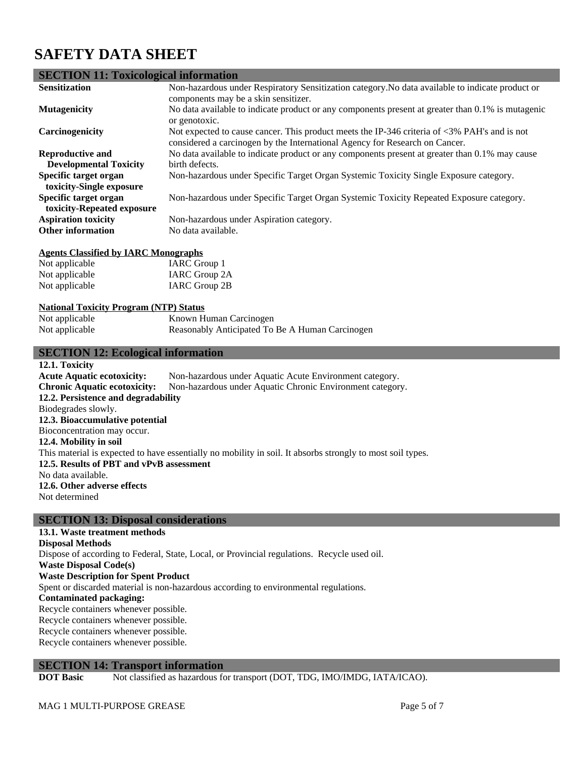## **SECTION 11: Toxicological information**

| <b>Sensitization</b>                                     | Non-hazardous under Respiratory Sensitization category. No data available to indicate product or<br>components may be a skin sensitizer.                                                      |
|----------------------------------------------------------|-----------------------------------------------------------------------------------------------------------------------------------------------------------------------------------------------|
| <b>Mutagenicity</b>                                      | No data available to indicate product or any components present at greater than 0.1% is mutagenic<br>or genotoxic.                                                                            |
| Carcinogenicity                                          | Not expected to cause cancer. This product meets the IP-346 criteria of $\langle 3\% \rangle$ PAH's and is not<br>considered a carcinogen by the International Agency for Research on Cancer. |
| <b>Reproductive and</b><br><b>Developmental Toxicity</b> | No data available to indicate product or any components present at greater than 0.1% may cause<br>birth defects.                                                                              |
| Specific target organ<br>toxicity-Single exposure        | Non-hazardous under Specific Target Organ Systemic Toxicity Single Exposure category.                                                                                                         |
| Specific target organ<br>toxicity-Repeated exposure      | Non-hazardous under Specific Target Organ Systemic Toxicity Repeated Exposure category.                                                                                                       |
| <b>Aspiration toxicity</b><br><b>Other information</b>   | Non-hazardous under Aspiration category.<br>No data available.                                                                                                                                |

#### **Agents Classified by IARC Monographs**

| Not applicable | IARC Group 1  |
|----------------|---------------|
| Not applicable | IARC Group 2A |
| Not applicable | IARC Group 2B |

### **National Toxicity Program (NTP) Status**

| Not applicable | Known Human Carcinogen                          |
|----------------|-------------------------------------------------|
| Not applicable | Reasonably Anticipated To Be A Human Carcinogen |

### **SECTION 12: Ecological information**

**12.1. Toxicity Acute Aquatic ecotoxicity:** Non-hazardous under Aquatic Acute Environment category. **Chronic Aquatic ecotoxicity:** Non-hazardous under Aquatic Chronic Environment category. **12.2. Persistence and degradability** Biodegrades slowly. **12.3. Bioaccumulative potential** Bioconcentration may occur. **12.4. Mobility in soil** This material is expected to have essentially no mobility in soil. It absorbs strongly to most soil types. **12.5. Results of PBT and vPvB assessment** No data available. **12.6. Other adverse effects** Not determined

### **SECTION 13: Disposal considerations**

**13.1. Waste treatment methods Disposal Methods** Dispose of according to Federal, State, Local, or Provincial regulations. Recycle used oil. **Waste Disposal Code(s) Waste Description for Spent Product** Spent or discarded material is non-hazardous according to environmental regulations. **Contaminated packaging:** Recycle containers whenever possible. Recycle containers whenever possible. Recycle containers whenever possible. Recycle containers whenever possible.

### **SECTION 14: Transport information**

**DOT Basic** Not classified as hazardous for transport (DOT, TDG, IMO/IMDG, IATA/ICAO).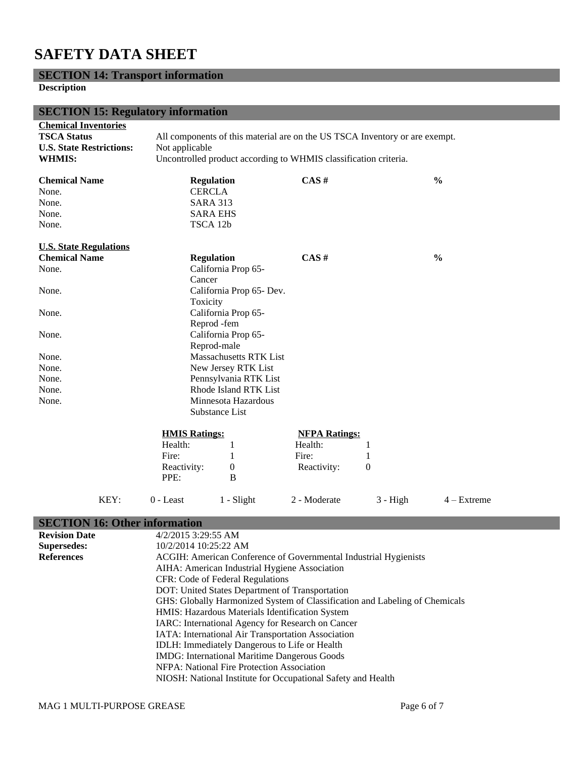# **SECTION 14: Transport information**

## **Description**

| <b>SECTION 15: Regulatory information</b>                                                             |                                                                                                                                                                   |                               |                      |            |               |
|-------------------------------------------------------------------------------------------------------|-------------------------------------------------------------------------------------------------------------------------------------------------------------------|-------------------------------|----------------------|------------|---------------|
| <b>Chemical Inventories</b><br><b>TSCA Status</b><br><b>U.S. State Restrictions:</b><br><b>WHMIS:</b> | All components of this material are on the US TSCA Inventory or are exempt.<br>Not applicable<br>Uncontrolled product according to WHMIS classification criteria. |                               |                      |            |               |
| <b>Chemical Name</b><br>None.                                                                         | <b>Regulation</b><br><b>CERCLA</b>                                                                                                                                |                               | CAS#                 |            | $\frac{0}{0}$ |
| None.                                                                                                 | <b>SARA 313</b>                                                                                                                                                   |                               |                      |            |               |
| None.                                                                                                 | <b>SARA EHS</b>                                                                                                                                                   |                               |                      |            |               |
| None.                                                                                                 | TSCA 12b                                                                                                                                                          |                               |                      |            |               |
| <b>U.S. State Regulations</b>                                                                         |                                                                                                                                                                   |                               |                      |            |               |
| <b>Chemical Name</b>                                                                                  | <b>Regulation</b>                                                                                                                                                 |                               | CAS#                 |            | $\frac{0}{0}$ |
| None.                                                                                                 |                                                                                                                                                                   | California Prop 65-           |                      |            |               |
|                                                                                                       | Cancer                                                                                                                                                            |                               |                      |            |               |
| None.                                                                                                 |                                                                                                                                                                   | California Prop 65- Dev.      |                      |            |               |
|                                                                                                       | Toxicity                                                                                                                                                          |                               |                      |            |               |
| None.                                                                                                 |                                                                                                                                                                   | California Prop 65-           |                      |            |               |
|                                                                                                       | Reprod -fem                                                                                                                                                       |                               |                      |            |               |
| None.                                                                                                 |                                                                                                                                                                   | California Prop 65-           |                      |            |               |
|                                                                                                       |                                                                                                                                                                   | Reprod-male                   |                      |            |               |
| None.                                                                                                 |                                                                                                                                                                   | <b>Massachusetts RTK List</b> |                      |            |               |
| None.                                                                                                 |                                                                                                                                                                   | New Jersey RTK List           |                      |            |               |
| None.                                                                                                 |                                                                                                                                                                   | Pennsylvania RTK List         |                      |            |               |
| None.                                                                                                 |                                                                                                                                                                   | Rhode Island RTK List         |                      |            |               |
| None.                                                                                                 |                                                                                                                                                                   | Minnesota Hazardous           |                      |            |               |
|                                                                                                       |                                                                                                                                                                   | Substance List                |                      |            |               |
|                                                                                                       | <b>HMIS Ratings:</b>                                                                                                                                              |                               | <b>NFPA Ratings:</b> |            |               |
|                                                                                                       | Health:                                                                                                                                                           | $\mathbf{1}$                  | Health:              | 1          |               |
|                                                                                                       | Fire:                                                                                                                                                             | 1                             | Fire:                | 1          |               |
|                                                                                                       | Reactivity:                                                                                                                                                       | $\boldsymbol{0}$              | Reactivity:          | 0          |               |
|                                                                                                       | PPE:                                                                                                                                                              | B                             |                      |            |               |
| KEY:                                                                                                  | $0$ - Least                                                                                                                                                       | 1 - Slight                    | 2 - Moderate         | $3 - High$ | $4 - Extreme$ |

# **SECTION 16: Other information**

| <b>Revision Date</b> | $4/2/2015$ 3:29:55 AM                                                                                                                                                                                              |  |  |
|----------------------|--------------------------------------------------------------------------------------------------------------------------------------------------------------------------------------------------------------------|--|--|
| <b>Supersedes:</b>   | 10/2/2014 10:25:22 AM                                                                                                                                                                                              |  |  |
| <b>References</b>    | ACGIH: American Conference of Governmental Industrial Hygienists                                                                                                                                                   |  |  |
|                      | AIHA: American Industrial Hygiene Association                                                                                                                                                                      |  |  |
|                      | CFR: Code of Federal Regulations                                                                                                                                                                                   |  |  |
|                      | DOT: United States Department of Transportation                                                                                                                                                                    |  |  |
|                      | GHS: Globally Harmonized System of Classification and Labeling of Chemicals                                                                                                                                        |  |  |
|                      | HMIS: Hazardous Materials Identification System<br>IARC: International Agency for Research on Cancer<br>IATA: International Air Transportation Association<br><b>IDLH:</b> Immediately Dangerous to Life or Health |  |  |
|                      |                                                                                                                                                                                                                    |  |  |
|                      |                                                                                                                                                                                                                    |  |  |
|                      |                                                                                                                                                                                                                    |  |  |
|                      | <b>IMDG:</b> International Maritime Dangerous Goods                                                                                                                                                                |  |  |
|                      | NFPA: National Fire Protection Association                                                                                                                                                                         |  |  |
|                      | NIOSH: National Institute for Occupational Safety and Health                                                                                                                                                       |  |  |